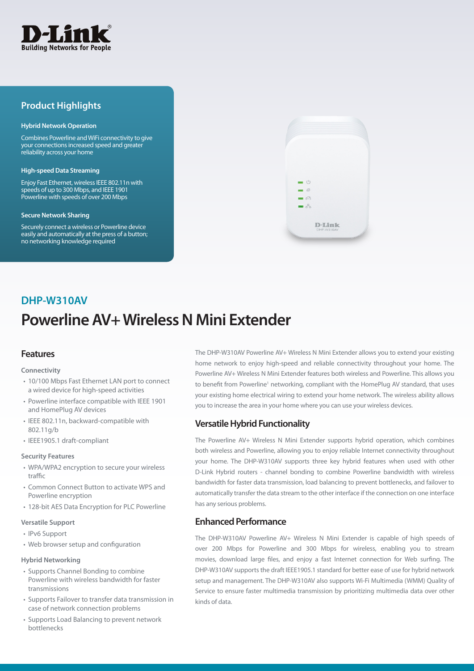

## **Product Highlights**

#### **Hybrid Network Operation**

Combines Powerline and WiFi connectivity to give your connections increased speed and greater reliability across your home

#### **High-speed Data Streaming**

Enjoy Fast Ethernet, wireless IEEE 802.11n with speeds of up to 300 Mbps, and IEEE 1901 Powerline with speeds of over 200 Mbps

#### **Secure Network Sharing**

Securely connect a wireless or Powerline device easily and automatically at the press of a button; no networking knowledge required



# **Powerline AV+ Wireless N Mini Extender DHP-W310AV**

## **Features**

#### **Connectivity**

- 10/100 Mbps Fast Ethernet LAN port to connect a wired device for high-speed activities
- Powerline interface compatible with IEEE 1901 and HomePlug AV devices
- IEEE 802.11n, backward-compatible with 802.11g/b
- IEEE1905.1 draft-compliant

#### **Security Features**

- WPA/WPA2 encryption to secure your wireless traffic
- Common Connect Button to activate WPS and Powerline encryption
- 128-bit AES Data Encryption for PLC Powerline

#### **Versatile Support**

- IPv6 Support
- Web browser setup and configuration

#### **Hybrid Networking**

- Supports Channel Bonding to combine Powerline with wireless bandwidth for faster transmissions
- Supports Failover to transfer data transmission in case of network connection problems
- Supports Load Balancing to prevent network bottlenecks

The DHP-W310AV Powerline AV+ Wireless N Mini Extender allows you to extend your existing home network to enjoy high-speed and reliable connectivity throughout your home. The Powerline AV+ Wireless N Mini Extender features both wireless and Powerline. This allows you to benefit from Powerline<sup>1</sup> networking, compliant with the HomePlug AV standard, that uses your existing home electrical wiring to extend your home network. The wireless ability allows you to increase the area in your home where you can use your wireless devices.

## **Versatile Hybrid Functionality**

The Powerline AV+ Wireless N Mini Extender supports hybrid operation, which combines both wireless and Powerline, allowing you to enjoy reliable Internet connectivity throughout your home. The DHP-W310AV supports three key hybrid features when used with other D-Link Hybrid routers - channel bonding to combine Powerline bandwidth with wireless bandwidth for faster data transmission, load balancing to prevent bottlenecks, and failover to automatically transfer the data stream to the other interface if the connection on one interface has any serious problems.

## **Enhanced Performance**

The DHP-W310AV Powerline AV+ Wireless N Mini Extender is capable of high speeds of over 200 Mbps for Powerline and 300 Mbps for wireless, enabling you to stream movies, download large files, and enjoy a fast Internet connection for Web surfing. The DHP-W310AV supports the draft IEEE1905.1 standard for better ease of use for hybrid network setup and management. The DHP-W310AV also supports Wi-Fi Multimedia (WMM) Quality of Service to ensure faster multimedia transmission by prioritizing multimedia data over other kinds of data.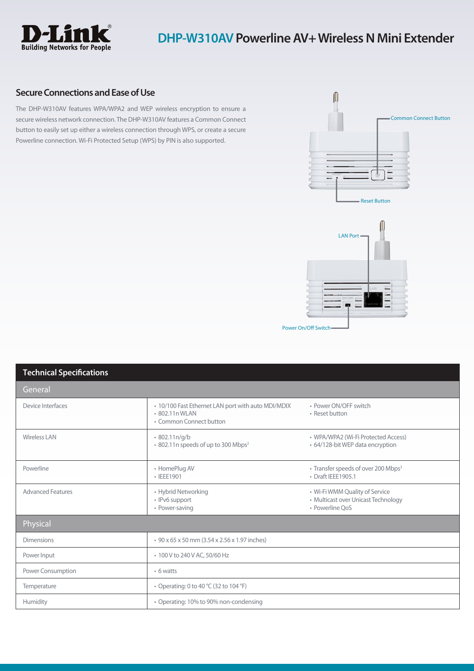

## **Secure Connections and Ease of Use**

The DHP-W310AV features WPA/WPA2 and WEP wireless encryption to ensure a secure wireless network connection. The DHP-W310AV features a Common Connect button to easily set up either a wireless connection through WPS, or create a secure Powerline connection. Wi-Fi Protected Setup (WPS) by PIN is also supported.





| <b>Technical Specifications</b> |                                                                                                 |                                                                                          |  |
|---------------------------------|-------------------------------------------------------------------------------------------------|------------------------------------------------------------------------------------------|--|
| General                         |                                                                                                 |                                                                                          |  |
| Device Interfaces               | • 10/100 Fast Ethernet LAN port with auto MDI/MDIX<br>• 802.11n WLAN<br>• Common Connect button | • Power ON/OFF switch<br>• Reset button                                                  |  |
| <b>Wireless LAN</b>             | 802.11n/q/b<br>* 802.11n speeds of up to 300 Mbps <sup>2</sup>                                  | • WPA/WPA2 (Wi-Fi Protected Access)<br>• 64/128-bit WEP data encryption                  |  |
| Powerline                       | • HomePlug AV<br>• IEEE1901                                                                     | • Transfer speeds of over 200 Mbps <sup>3</sup><br>• Draft IEEE1905.1                    |  |
| <b>Advanced Features</b>        | • Hybrid Networking<br>• IPv6 support<br>• Power-saving                                         | • Wi-Fi WMM Quality of Service<br>• Multicast over Unicast Technology<br>• Powerline OoS |  |
| Physical                        |                                                                                                 |                                                                                          |  |
| <b>Dimensions</b>               | • 90 x 65 x 50 mm (3.54 x 2.56 x 1.97 inches)                                                   |                                                                                          |  |
| Power Input                     | • 100 V to 240 V AC, 50/60 Hz                                                                   |                                                                                          |  |
| <b>Power Consumption</b>        | • 6 watts                                                                                       |                                                                                          |  |
| Temperature                     | • Operating: 0 to 40 °C (32 to 104 °F)                                                          |                                                                                          |  |
| Humidity                        | • Operating: 10% to 90% non-condensing                                                          |                                                                                          |  |